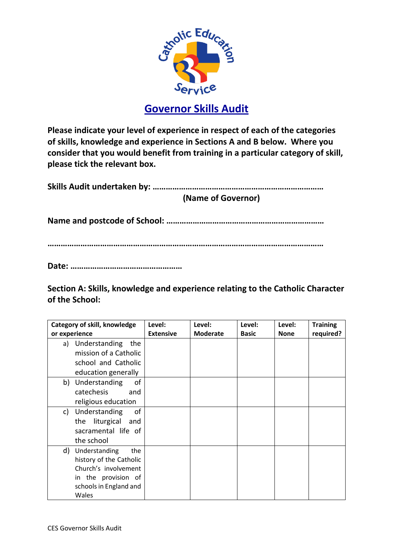

**Please indicate your level of experience in respect of each of the categories of skills, knowledge and experience in Sections A and B below. Where you consider that you would benefit from training in a particular category of skill, please tick the relevant box.** 

**Skills Audit undertaken by: …………………………………………………………………… (Name of Governor)**

**Name and postcode of School: ………………………………………………………………**

**………………………………………………………………………………………………………………** 

**Date: ……………………………………………**

**Section A: Skills, knowledge and experience relating to the Catholic Character of the School:**

| Category of skill, knowledge | Level:           | Level:          | Level:       | Level:      | <b>Training</b> |
|------------------------------|------------------|-----------------|--------------|-------------|-----------------|
| or experience                | <b>Extensive</b> | <b>Moderate</b> | <b>Basic</b> | <b>None</b> | required?       |
| a) Understanding<br>the      |                  |                 |              |             |                 |
| mission of a Catholic        |                  |                 |              |             |                 |
| school and Catholic          |                  |                 |              |             |                 |
| education generally          |                  |                 |              |             |                 |
| of<br>Understanding<br>b)    |                  |                 |              |             |                 |
| catechesis<br>and            |                  |                 |              |             |                 |
| religious education          |                  |                 |              |             |                 |
| Understanding<br>of<br>c)    |                  |                 |              |             |                 |
| the liturgical<br>and        |                  |                 |              |             |                 |
| sacramental life of          |                  |                 |              |             |                 |
| the school                   |                  |                 |              |             |                 |
| d)<br>Understanding<br>the   |                  |                 |              |             |                 |
| history of the Catholic      |                  |                 |              |             |                 |
| Church's involvement         |                  |                 |              |             |                 |
| in the provision of          |                  |                 |              |             |                 |
| schools in England and       |                  |                 |              |             |                 |
| Wales                        |                  |                 |              |             |                 |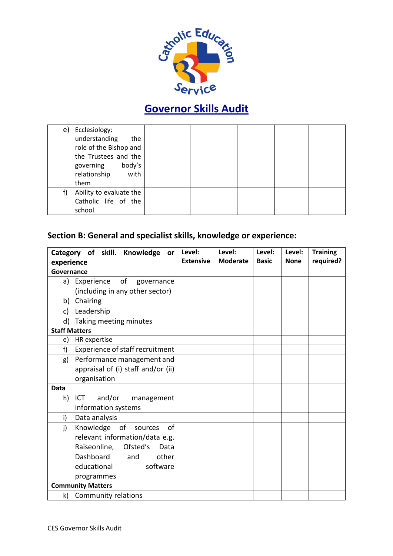

|    | e) Ecclesiology:<br>understanding<br>the<br>role of the Bishop and<br>the Trustees and the<br>body's<br>governing<br>relationship<br>with<br>them |  |  |  |
|----|---------------------------------------------------------------------------------------------------------------------------------------------------|--|--|--|
| f) | Ability to evaluate the<br>Catholic life of the<br>school                                                                                         |  |  |  |

#### **Section B: General and specialist skills, knowledge or experience:**

| Category of skill. Knowledge or       | Level:           | Level:          | Level:       | Level:      | <b>Training</b> |
|---------------------------------------|------------------|-----------------|--------------|-------------|-----------------|
| experience                            | <b>Extensive</b> | <b>Moderate</b> | <b>Basic</b> | <b>None</b> | required?       |
| Governance                            |                  |                 |              |             |                 |
| Experience of<br>a)<br>governance     |                  |                 |              |             |                 |
| (including in any other sector)       |                  |                 |              |             |                 |
| b)<br>Chairing                        |                  |                 |              |             |                 |
| Leadership<br>c)                      |                  |                 |              |             |                 |
| d)<br>Taking meeting minutes          |                  |                 |              |             |                 |
| <b>Staff Matters</b>                  |                  |                 |              |             |                 |
| HR expertise<br>e)                    |                  |                 |              |             |                 |
| Experience of staff recruitment<br>f) |                  |                 |              |             |                 |
| Performance management and<br>g)      |                  |                 |              |             |                 |
| appraisal of (i) staff and/or (ii)    |                  |                 |              |             |                 |
| organisation                          |                  |                 |              |             |                 |
| Data                                  |                  |                 |              |             |                 |
| and/or<br>ICT<br>management<br>h)     |                  |                 |              |             |                 |
| information systems                   |                  |                 |              |             |                 |
| Data analysis<br>i)                   |                  |                 |              |             |                 |
| Knowledge of<br>j)<br>of<br>sources   |                  |                 |              |             |                 |
| relevant information/data e.g.        |                  |                 |              |             |                 |
| Raiseonline, Ofsted's<br>Data         |                  |                 |              |             |                 |
| Dashboard<br>other<br>and             |                  |                 |              |             |                 |
| educational<br>software               |                  |                 |              |             |                 |
| programmes                            |                  |                 |              |             |                 |
| <b>Community Matters</b>              |                  |                 |              |             |                 |
| Community relations<br>k)             |                  |                 |              |             |                 |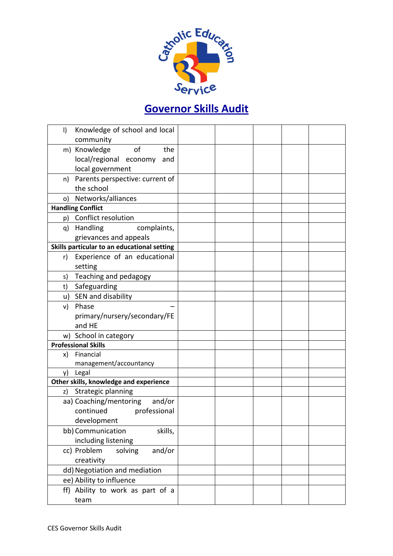

| I) | Knowledge of school and local               |  |  |  |
|----|---------------------------------------------|--|--|--|
|    | community                                   |  |  |  |
|    | m) Knowledge<br>of<br>the                   |  |  |  |
|    | local/regional economy<br>and               |  |  |  |
|    | local government                            |  |  |  |
|    | n) Parents perspective: current of          |  |  |  |
|    | the school                                  |  |  |  |
|    | o) Networks/alliances                       |  |  |  |
|    | <b>Handling Conflict</b>                    |  |  |  |
|    | p) Conflict resolution                      |  |  |  |
|    | q) Handling<br>complaints,                  |  |  |  |
|    | grievances and appeals                      |  |  |  |
|    | Skills particular to an educational setting |  |  |  |
| r) | Experience of an educational                |  |  |  |
|    | setting                                     |  |  |  |
| s) | Teaching and pedagogy                       |  |  |  |
| t) | Safeguarding                                |  |  |  |
| u) | SEN and disability                          |  |  |  |
| v) | Phase                                       |  |  |  |
|    | primary/nursery/secondary/FE                |  |  |  |
|    | and HE                                      |  |  |  |
|    | w) School in category                       |  |  |  |
|    | <b>Professional Skills</b>                  |  |  |  |
| X) | Financial                                   |  |  |  |
|    | management/accountancy                      |  |  |  |
| y) | Legal                                       |  |  |  |
|    | Other skills, knowledge and experience      |  |  |  |
| z) | Strategic planning                          |  |  |  |
|    | aa) Coaching/mentoring<br>and/or            |  |  |  |
|    | continued<br>professional                   |  |  |  |
|    | development                                 |  |  |  |
|    | bb) Communication<br>skills,                |  |  |  |
|    | including listening                         |  |  |  |
|    | and/or<br>cc) Problem<br>solving            |  |  |  |
|    | creativity                                  |  |  |  |
|    | dd) Negotiation and mediation               |  |  |  |
|    | ee) Ability to influence                    |  |  |  |
|    | ff) Ability to work as part of a            |  |  |  |
|    | team                                        |  |  |  |